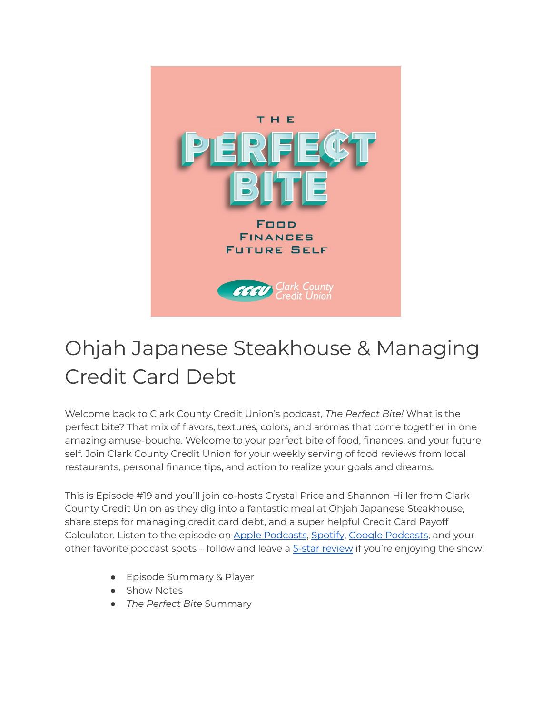

## Ohjah Japanese Steakhouse & Managing Credit Card Debt

Welcome back to Clark County Credit Union's podcast, *The Perfect Bite!* What is the perfect bite? That mix of flavors, textures, colors, and aromas that come together in one amazing amuse-bouche. Welcome to your perfect bite of food, finances, and your future self. Join Clark County Credit Union for your weekly serving of food reviews from local restaurants, personal finance tips, and action to realize your goals and dreams.

This is Episode #19 and you'll join co-hosts Crystal Price and Shannon Hiller from Clark County Credit Union as they dig into a fantastic meal at Ohjah Japanese Steakhouse, share steps for managing credit card debt, and a super helpful Credit Card Payoff Calculator. Listen to the episode on Apple [Podcasts](https://podcasts.google.com/feed/aHR0cHM6Ly9wZXJmZWN0Yml0ZS5saWJzeW4uY29tL3Jzcw?sa=X&ved=0CAMQ4aUDahcKEwi47ZHlgPP1AhUAAAAAHQAAAAAQRA), [Spotify](https://open.spotify.com/show/7tNPJZBNHabGWEFmjnHaxR?si=a0a7808911264628), Google Podcasts, and your other favorite podcast spots – follow and leave a **5-star [review](https://podcasts.apple.com/us/podcast/the-perfect-bite/id1604656448)** if you're enjoying the show!

- Episode Summary & Player
- Show Notes
- *The Perfect Bite* Summary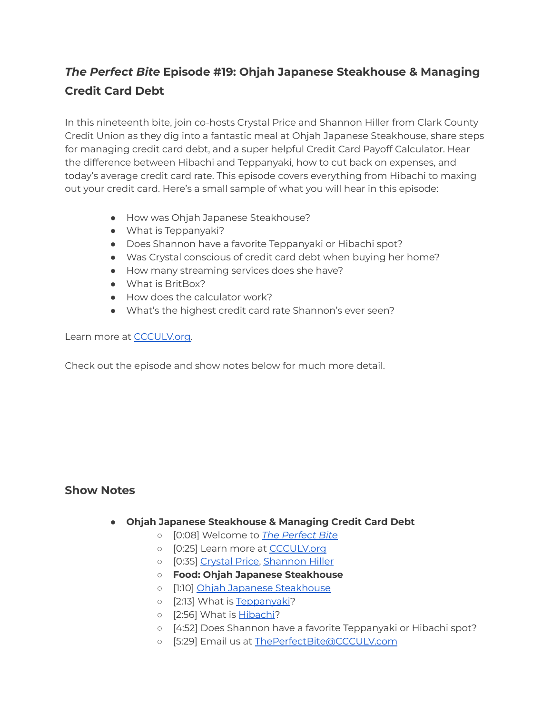## *The Perfect Bite* **Episode #19: Ohjah Japanese Steakhouse & Managing Credit Card Debt**

In this nineteenth bite, join co-hosts Crystal Price and Shannon Hiller from Clark County Credit Union as they dig into a fantastic meal at Ohjah Japanese Steakhouse, share steps for managing credit card debt, and a super helpful Credit Card Payoff Calculator. Hear the difference between Hibachi and Teppanyaki, how to cut back on expenses, and today's average credit card rate. This episode covers everything from Hibachi to maxing out your credit card. Here's a small sample of what you will hear in this episode:

- How was Ohjah Japanese Steakhouse?
- What is Teppanyaki?
- Does Shannon have a favorite Teppanyaki or Hibachi spot?
- Was Crystal conscious of credit card debt when buying her home?
- How many streaming services does she have?
- What is BritBox?
- How does the calculator work?
- What's the highest credit card rate Shannon's ever seen?

Learn more at [CCCULV.org.](https://www.ccculv.org/)

Check out the episode and show notes below for much more detail.

## **Show Notes**

- **Ohjah Japanese Steakhouse & Managing Credit Card Debt**
	- [0:08] Welcome to *[The Perfect Bite](https://www.ccculv.org/)*
	- [0:25] Learn more at [CCCULV.org](https://www.ccculv.org/)
	- [0:35] [Crystal Price](https://www.ccculv.org/Our-Mission.aspx), [Shannon Hiller](https://www.ccculv.org/Our-Mission.aspx)
	- **○ Food: Ohjah Japanese Steakhouse**
	- [1:10] [Ohjah Japanese Steakhouse](https://www.ohjahsteakhouse.com/)
	- o [2:13] What is [Teppanyaki](https://lasvegas-sushi.com/japanese-hibachi-teppanyaki-las-vegas/)?
	- o [2:56] What is [Hibachi](https://lasvegas-sushi.com/japanese-hibachi-teppanyaki-las-vegas/)?
	- [4:52] Does Shannon have a favorite Teppanyaki or Hibachi spot?
	- [5:29] Email us at [ThePerfectBite@CCCULV.com](mailto:ThePerfectBite@CCCULV.org)